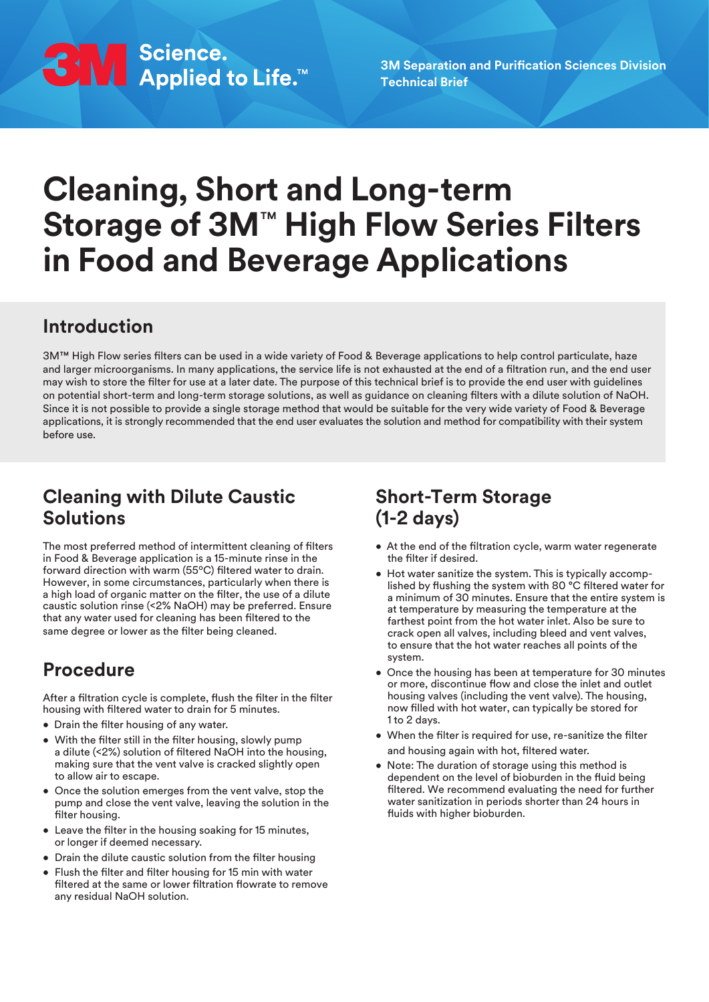SM Science.<br>SM Applied to Life.™

**3M Separation and Purification Sciences Division Technical Brief**

# **Cleaning, Short and Long-term Storage of 3M**™ **High Flow Series Filters in Food and Beverage Applications**

## **Introduction**

3M™ High Flow series filters can be used in a wide variety of Food & Beverage applications to help control particulate, haze and larger microorganisms. In many applications, the service life is not exhausted at the end of a filtration run, and the end user may wish to store the filter for use at a later date. The purpose of this technical brief is to provide the end user with guidelines on potential short-term and long-term storage solutions, as well as guidance on cleaning filters with a dilute solution of NaOH. Since it is not possible to provide a single storage method that would be suitable for the very wide variety of Food & Beverage applications, it is strongly recommended that the end user evaluates the solution and method for compatibility with their system before use.

## **Cleaning with Dilute Caustic Solutions**

The most preferred method of intermittent cleaning of filters in Food & Beverage application is a 15-minute rinse in the forward direction with warm (55ºC) filtered water to drain. However, in some circumstances, particularly when there is a high load of organic matter on the filter, the use of a dilute caustic solution rinse (<2% NaOH) may be preferred. Ensure that any water used for cleaning has been filtered to the same degree or lower as the filter being cleaned.

## **Procedure**

After a filtration cycle is complete, flush the filter in the filter housing with filtered water to drain for 5 minutes.

- Drain the filter housing of any water.
- With the filter still in the filter housing, slowly pump a dilute (<2%) solution of filtered NaOH into the housing, making sure that the vent valve is cracked slightly open to allow air to escape.
- Once the solution emerges from the vent valve, stop the pump and close the vent valve, leaving the solution in the filter housing.
- Leave the filter in the housing soaking for 15 minutes, or longer if deemed necessary.
- Drain the dilute caustic solution from the filter housing
- Flush the filter and filter housing for 15 min with water filtered at the same or lower filtration flowrate to remove any residual NaOH solution.

## **Short-Term Storage (1-2 days)**

- At the end of the filtration cycle, warm water regenerate the filter if desired.
- Hot water sanitize the system. This is typically accomplished by flushing the system with 80 °C filtered water for a minimum of 30 minutes. Ensure that the entire system is at temperature by measuring the temperature at the farthest point from the hot water inlet. Also be sure to crack open all valves, including bleed and vent valves, to ensure that the hot water reaches all points of the system.
- Once the housing has been at temperature for 30 minutes or more, discontinue flow and close the inlet and outlet housing valves (including the vent valve). The housing, now filled with hot water, can typically be stored for 1 to 2 days.
- When the filter is required for use, re-sanitize the filter and housing again with hot, filtered water.
- Note: The duration of storage using this method is dependent on the level of bioburden in the fluid being filtered. We recommend evaluating the need for further water sanitization in periods shorter than 24 hours in fluids with higher bioburden.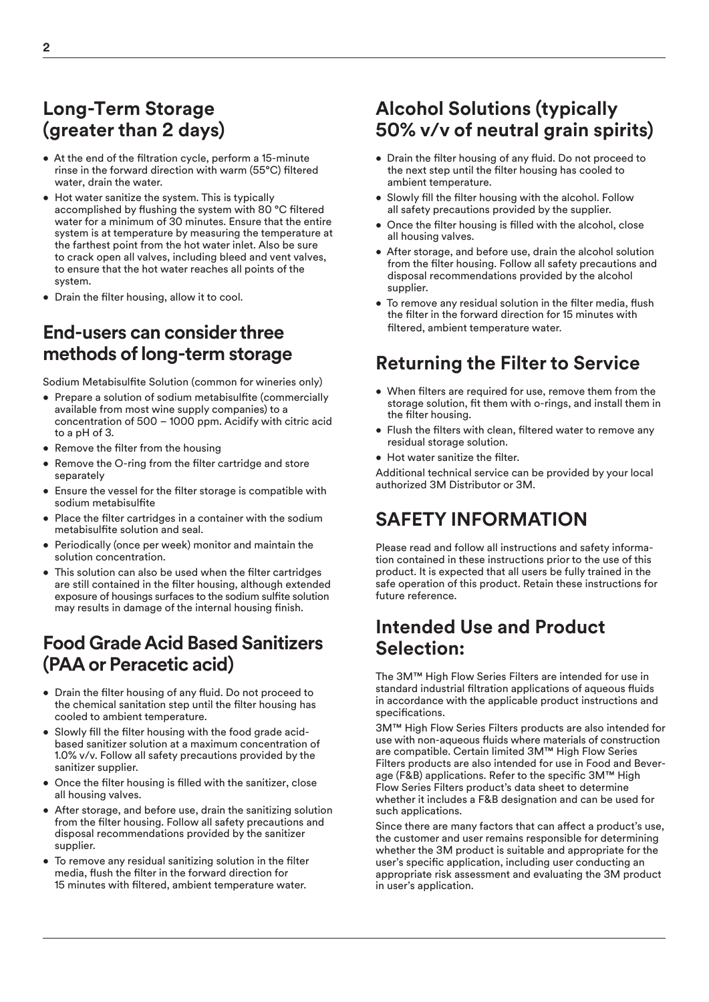## **Long-Term Storage (greater than 2 days)**

- At the end of the filtration cycle, perform a 15-minute rinse in the forward direction with warm (55°C) filtered water, drain the water.
- Hot water sanitize the system. This is typically accomplished by flushing the system with 80 °C filtered water for a minimum of 30 minutes. Ensure that the entire system is at temperature by measuring the temperature at the farthest point from the hot water inlet. Also be sure to crack open all valves, including bleed and vent valves, to ensure that the hot water reaches all points of the system.
- Drain the filter housing, allow it to cool.

## **End-users can consider three methods of long-term storage**

Sodium Metabisulfite Solution (common for wineries only)

- Prepare a solution of sodium metabisulfite (commercially available from most wine supply companies) to a concentration of 500 – 1000 ppm. Acidify with citric acid to a pH of 3.
- Remove the filter from the housing
- Remove the O-ring from the filter cartridge and store separately
- Ensure the vessel for the filter storage is compatible with sodium metabisulfite
- Place the filter cartridges in a container with the sodium metabisulfite solution and seal.
- Periodically (once per week) monitor and maintain the solution concentration.
- This solution can also be used when the filter cartridges are still contained in the filter housing, although extended exposure of housings surfaces to the sodium sulfite solution may results in damage of the internal housing finish.

## **Food Grade Acid Based Sanitizers (PAA or Peracetic acid)**

- Drain the filter housing of any fluid. Do not proceed to the chemical sanitation step until the filter housing has cooled to ambient temperature.
- Slowly fill the filter housing with the food grade acidbased sanitizer solution at a maximum concentration of 1.0% v/v. Follow all safety precautions provided by the sanitizer supplier.
- Once the filter housing is filled with the sanitizer, close all housing valves.
- After storage, and before use, drain the sanitizing solution from the filter housing. Follow all safety precautions and disposal recommendations provided by the sanitizer supplier.
- To remove any residual sanitizing solution in the filter media, flush the filter in the forward direction for 15 minutes with filtered, ambient temperature water.

## **Alcohol Solutions (typically 50% v/v of neutral grain spirits)**

- Drain the filter housing of any fluid. Do not proceed to the next step until the filter housing has cooled to ambient temperature.
- Slowly fill the filter housing with the alcohol. Follow all safety precautions provided by the supplier.
- Once the filter housing is filled with the alcohol, close all housing valves.
- After storage, and before use, drain the alcohol solution from the filter housing. Follow all safety precautions and disposal recommendations provided by the alcohol supplier.
- To remove any residual solution in the filter media, flush the filter in the forward direction for 15 minutes with filtered, ambient temperature water.

## **Returning the Filter to Service**

- When filters are required for use, remove them from the storage solution, fit them with o-rings, and install them in the filter housing.
- Flush the filters with clean, filtered water to remove any residual storage solution.
- Hot water sanitize the filter.

Additional technical service can be provided by your local authorized 3M Distributor or 3M.

## **SAFETY INFORMATION**

Please read and follow all instructions and safety information contained in these instructions prior to the use of this product. It is expected that all users be fully trained in the safe operation of this product. Retain these instructions for future reference.

## **Intended Use and Product Selection:**

The 3M™ High Flow Series Filters are intended for use in standard industrial filtration applications of aqueous fluids in accordance with the applicable product instructions and specifications.

3M™ High Flow Series Filters products are also intended for use with non-aqueous fluids where materials of construction are compatible. Certain limited 3M™ High Flow Series Filters products are also intended for use in Food and Beverage (F&B) applications. Refer to the specific 3M™ High Flow Series Filters product's data sheet to determine whether it includes a F&B designation and can be used for such applications.

Since there are many factors that can affect a product's use, the customer and user remains responsible for determining whether the 3M product is suitable and appropriate for the user's specific application, including user conducting an appropriate risk assessment and evaluating the 3M product in user's application.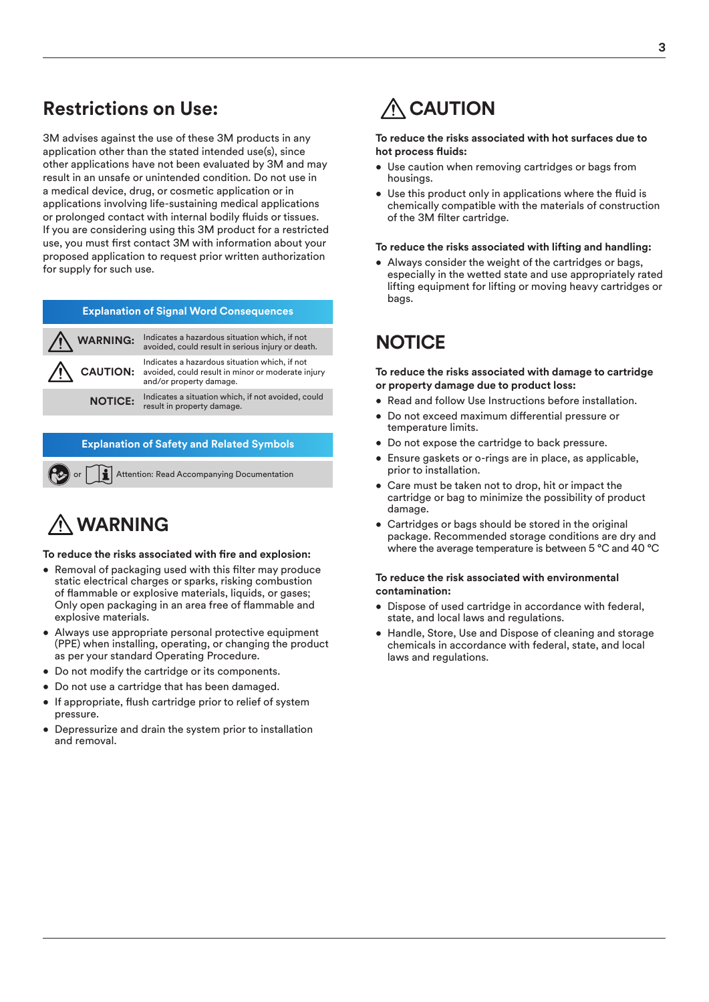## **Restrictions on Use:**

3M advises against the use of these 3M products in any application other than the stated intended use(s), since other applications have not been evaluated by 3M and may result in an unsafe or unintended condition. Do not use in a medical device, drug, or cosmetic application or in applications involving life-sustaining medical applications or prolonged contact with internal bodily fluids or tissues. If you are considering using this 3M product for a restricted use, you must first contact 3M with information about your proposed application to request prior written authorization for supply for such use.

### **Explanation of Signal Word Consequences**

| Indicates a hazardous situation which, if not<br>avoided, could result in serious injury or death.                                            |
|-----------------------------------------------------------------------------------------------------------------------------------------------|
| Indicates a hazardous situation which, if not<br><b>CAUTION:</b> avoided, could result in minor or moderate injury<br>and/or property damage. |
| Indicates a situation which, if not avoided, could<br>result in property damage.                                                              |
|                                                                                                                                               |

### **Explanation of Safety and Related Symbols**

Attention: Read Accompanying Documentation

## **WARNING**

### **To reduce the risks associated with fire and explosion:**

- Removal of packaging used with this filter may produce static electrical charges or sparks, risking combustion of flammable or explosive materials, liquids, or gases; Only open packaging in an area free of flammable and explosive materials.
- Always use appropriate personal protective equipment (PPE) when installing, operating, or changing the product as per your standard Operating Procedure.
- Do not modify the cartridge or its components.
- Do not use a cartridge that has been damaged.
- If appropriate, flush cartridge prior to relief of system pressure.
- Depressurize and drain the system prior to installation and removal.

## **CAUTION**

### **To reduce the risks associated with hot surfaces due to hot process fluids:**

- Use caution when removing cartridges or bags from housings.
- Use this product only in applications where the fluid is chemically compatible with the materials of construction of the 3M filter cartridge.

### **To reduce the risks associated with lifting and handling:**

• Always consider the weight of the cartridges or bags, especially in the wetted state and use appropriately rated lifting equipment for lifting or moving heavy cartridges or bags.

### **NOTICE**

### **To reduce the risks associated with damage to cartridge or property damage due to product loss:**

- Read and follow Use Instructions before installation.
- Do not exceed maximum differential pressure or temperature limits.
- Do not expose the cartridge to back pressure.
- Ensure gaskets or o-rings are in place, as applicable, prior to installation.
- Care must be taken not to drop, hit or impact the cartridge or bag to minimize the possibility of product damage.
- Cartridges or bags should be stored in the original package. Recommended storage conditions are dry and where the average temperature is between 5 °C and 40 °C

### **To reduce the risk associated with environmental contamination:**

- Dispose of used cartridge in accordance with federal, state, and local laws and regulations.
- Handle, Store, Use and Dispose of cleaning and storage chemicals in accordance with federal, state, and local laws and regulations.